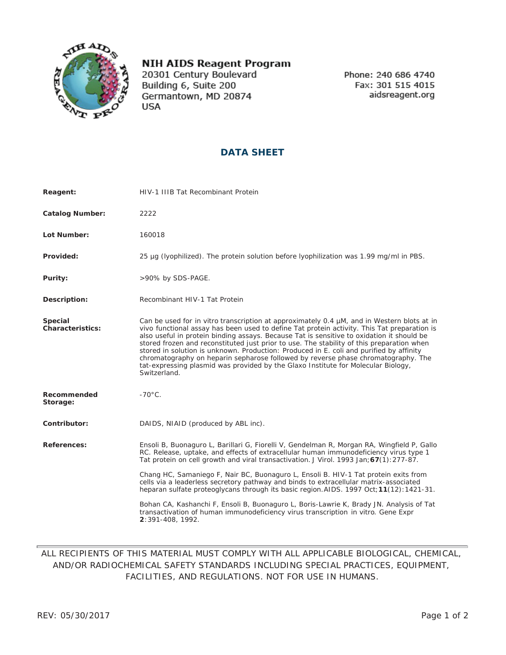

## **NIH AIDS Reagent Program**

20301 Century Boulevard Building 6, Suite 200 Germantown, MD 20874 **USA** 

Phone: 240 686 4740 Fax: 301 515 4015 aidsreagent.org

## **DATA SHEET**

| Reagent:                    | HIV-1 IIIB Tat Recombinant Protein                                                                                                                                                                                                                                                                                                                                                                                                                                                                                                                                                                                                                                              |
|-----------------------------|---------------------------------------------------------------------------------------------------------------------------------------------------------------------------------------------------------------------------------------------------------------------------------------------------------------------------------------------------------------------------------------------------------------------------------------------------------------------------------------------------------------------------------------------------------------------------------------------------------------------------------------------------------------------------------|
| <b>Catalog Number:</b>      | 2222                                                                                                                                                                                                                                                                                                                                                                                                                                                                                                                                                                                                                                                                            |
| Lot Number:                 | 160018                                                                                                                                                                                                                                                                                                                                                                                                                                                                                                                                                                                                                                                                          |
| Provided:                   | 25 µq (lyophilized). The protein solution before lyophilization was 1.99 mq/ml in PBS.                                                                                                                                                                                                                                                                                                                                                                                                                                                                                                                                                                                          |
| Purity:                     | >90% by SDS-PAGE.                                                                                                                                                                                                                                                                                                                                                                                                                                                                                                                                                                                                                                                               |
| Description:                | Recombinant HIV-1 Tat Protein                                                                                                                                                                                                                                                                                                                                                                                                                                                                                                                                                                                                                                                   |
| Special<br>Characteristics: | Can be used for <i>in vitro</i> transcription at approximately 0.4 µM, and in Western blots at in<br>vivo functional assay has been used to define Tat protein activity. This Tat preparation is<br>also useful in protein binding assays. Because Tat is sensitive to oxidation it should be<br>stored frozen and reconstituted just prior to use. The stability of this preparation when<br>stored in solution is unknown. Production: Produced in E. coli and purified by affinity<br>chromatography on heparin sepharose followed by reverse phase chromatography. The<br>tat-expressing plasmid was provided by the Glaxo Institute for Molecular Biology,<br>Switzerland. |
| Recommended<br>Storage:     | $-70^{\circ}$ C.                                                                                                                                                                                                                                                                                                                                                                                                                                                                                                                                                                                                                                                                |
| Contributor:                | DAIDS, NIAID (produced by ABL inc).                                                                                                                                                                                                                                                                                                                                                                                                                                                                                                                                                                                                                                             |
| References:                 | Ensoli B, Buonaguro L, Barillari G, Fiorelli V, Gendelman R, Morgan RA, Wingfield P, Gallo<br>RC. Release, uptake, and effects of extracellular human immunodeficiency virus type 1<br>Tat protein on cell growth and viral transactivation. J Virol. 1993 Jan; 67(1): 277-87.                                                                                                                                                                                                                                                                                                                                                                                                  |
|                             | Chang HC, Samaniego F, Nair BC, Buonaguro L, Ensoli B. HIV-1 Tat protein exits from<br>cells via a leaderless secretory pathway and binds to extracellular matrix-associated<br>heparan sulfate proteoglycans through its basic region. AIDS. 1997 Oct; 11(12): 1421-31.                                                                                                                                                                                                                                                                                                                                                                                                        |
|                             | Bohan CA, Kashanchi F, Ensoli B, Buonaguro L, Boris-Lawrie K, Brady JN. Analysis of Tat<br>transactivation of human immunodeficiency virus transcription in vitro. Gene Expr<br>2:391-408, 1992.                                                                                                                                                                                                                                                                                                                                                                                                                                                                                |

## ALL RECIPIENTS OF THIS MATERIAL MUST COMPLY WITH ALL APPLICABLE BIOLOGICAL, CHEMICAL, AND/OR RADIOCHEMICAL SAFETY STANDARDS INCLUDING SPECIAL PRACTICES, EQUIPMENT, FACILITIES, AND REGULATIONS. NOT FOR USE IN HUMANS.